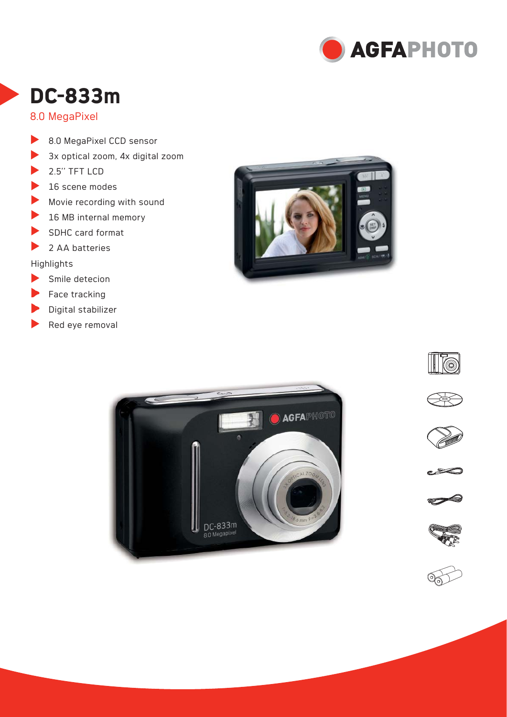

## **DC-833m**

## 8.0 MegaPixel

- 8.0 MegaPixel CCD sensor
- 3x optical zoom, 4x digital zoom
- 2.5'' TFT LCD
- $\blacktriangleright$  16 scene modes
- Movie recording with sound
- 16 MB internal memory
- SDHC card format
- ▶ 2 AA batteries

## Highlights

- Smile detecion
- Face tracking
- Digital stabilizer
- $\blacktriangleright$  Red eye removal